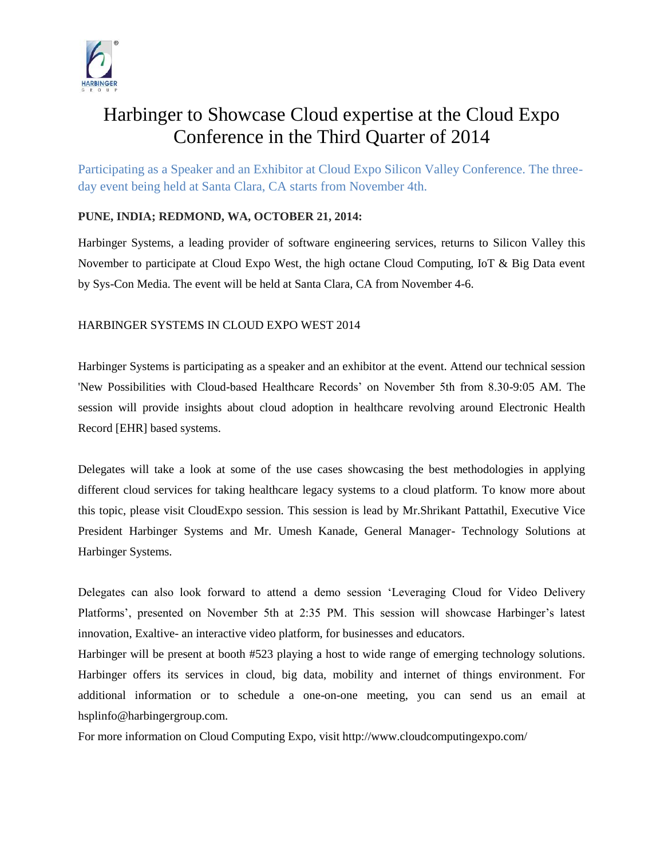

## Harbinger to Showcase Cloud expertise at the Cloud Expo Conference in the Third Quarter of 2014

Participating as a Speaker and an Exhibitor at Cloud Expo Silicon Valley Conference. The threeday event being held at Santa Clara, CA starts from November 4th.

## **PUNE, INDIA; REDMOND, WA, OCTOBER 21, 2014:**

Harbinger Systems, a leading provider of software engineering services, returns to Silicon Valley this November to participate at Cloud Expo West, the high octane Cloud Computing, IoT & Big Data event by Sys-Con Media. The event will be held at Santa Clara, CA from November 4-6.

## HARBINGER SYSTEMS IN CLOUD EXPO WEST 2014

Harbinger Systems is participating as a speaker and an exhibitor at the event. Attend our technical session 'New Possibilities with Cloud-based Healthcare Records' on November 5th from 8.30-9:05 AM. The session will provide insights about cloud adoption in healthcare revolving around Electronic Health Record [EHR] based systems.

Delegates will take a look at some of the use cases showcasing the best methodologies in applying different cloud services for taking healthcare legacy systems to a cloud platform. To know more about this topic, please visit CloudExpo session. This session is lead by Mr.Shrikant Pattathil, Executive Vice President Harbinger Systems and Mr. Umesh Kanade, General Manager- Technology Solutions at Harbinger Systems.

Delegates can also look forward to attend a demo session 'Leveraging Cloud for Video Delivery Platforms', presented on November 5th at 2:35 PM. This session will showcase Harbinger's latest innovation, Exaltive- an interactive video platform, for businesses and educators.

Harbinger will be present at booth #523 playing a host to wide range of emerging technology solutions. Harbinger offers its services in cloud, big data, mobility and internet of things environment. For additional information or to schedule a one-on-one meeting, you can send us an email at hsplinfo@harbingergroup.com.

For more information on Cloud Computing Expo, visit http://www.cloudcomputingexpo.com/